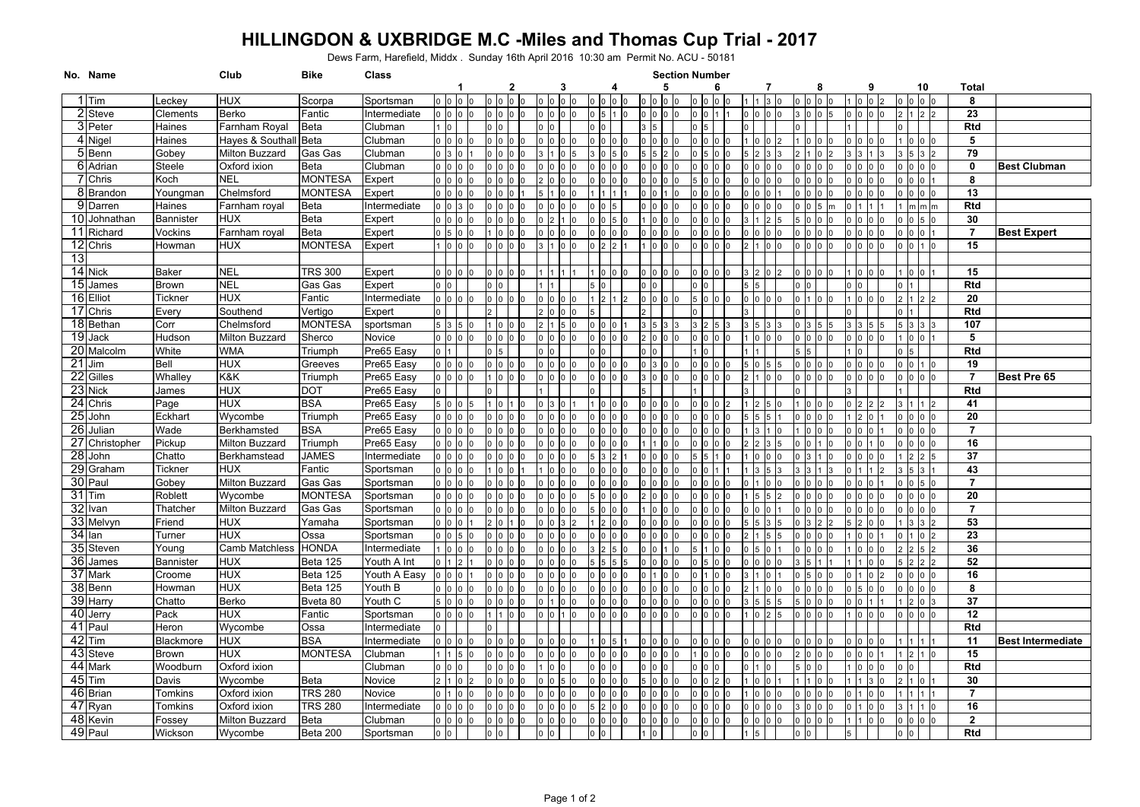# **HILLINGDON & UXBRIDGE M.C -Miles and Thomas Cup Trial - 2017**

Dews Farm, Harefield, Middx . Sunday 16th April 2016 10:30 am Permit No. ACU - 50181

|                 | No. Name    |                | Club                  | <b>Bike</b>           | Class        |                                        |                                   |                |   |                                    | <b>Section Number</b> |                      |                  |                                         |                          |                         |                          |
|-----------------|-------------|----------------|-----------------------|-----------------------|--------------|----------------------------------------|-----------------------------------|----------------|---|------------------------------------|-----------------------|----------------------|------------------|-----------------------------------------|--------------------------|-------------------------|--------------------------|
|                 |             |                |                       |                       |              | -1                                     | 2                                 | 3              | 4 | 5                                  | 6                     |                      | 8                | 9                                       | 10                       | Total                   |                          |
|                 | $1$ Tim     | Leckey         | <b>HUX</b>            | Scorpa                | Sportsman    | 0 <sub>0</sub>                         | l0                                | $\Omega$       |   | ⊢lo                                | $0$ $0$               |                      | lo               |                                         | $\overline{0}$           | 8                       |                          |
|                 | 2 Steve     | Clements       | Berko                 | Fantic                | Intermediate | $0$ 0 0 0                              | 0 0 0 0                           | $\overline{0}$ |   | 0 <sup>10</sup>                    | 0 <sup>10</sup>       | $0$ $0$ $0$          | $0 \ 0 \ 5$      | 0 <sup>0</sup><br>0                     | $2 \mid 1 \mid 2 \mid 2$ | 23                      |                          |
|                 | 3 Peter     | Haines         | Farnham Royal         | <b>Beta</b>           | Clubman      | 10                                     | 0 <sup>10</sup>                   |                |   | 3 5                                | 0 <sub>5</sub>        |                      |                  |                                         |                          | <b>Rtd</b>              |                          |
|                 | 4 Nigel     | Haines         | Hayes & Southall Beta |                       | Clubman      | 0 0 0 0                                | 0 <sup>0</sup><br>lo lo           | I٥             |   | 0 <sup>10</sup>                    | 0 <sup>10</sup>       | lc                   | ١o               | 0 <sup>0</sup>                          | 000                      | 5                       |                          |
|                 | 5 Benn      | Gobey          | Milton Buzzard        | Gas Gas               | Clubman      | $0 \quad 3 \quad 0$                    | olololo                           | $\overline{0}$ |   | 2 <sub>0</sub><br>$\sqrt{5}$       | $\overline{0}$        |                      | l0               | 3 3<br>1 <sup>3</sup>                   | 3532                     | 79                      |                          |
|                 | 6 Adrian    | Steele         | Oxford ixion          | <b>Beta</b>           | Clubman      | 0 0 0 0                                | $00$ $00$                         | $\overline{0}$ |   | 0 <sub>0</sub><br> 0               | 0 <sup>0</sup>        | lo                   | ١o               | 0 <sup>10</sup><br>l <sub>0</sub>       | 0 <sub>10</sub>          | 0                       | <b>Best Clubman</b>      |
|                 | 7 Chris     | Koch           | <b>NEL</b>            | <b>MONTESA</b>        | Expert       | 0 <sub>0</sub>                         | ס כ<br>lo lo                      | $\Omega$       |   | n In<br>10                         | 5                     | <b>l</b> o           | Ic               | $\Omega$                                | 00                       | 8                       |                          |
|                 | 8 Brandon   | Youngman       | Chelmsford            | <b>MONTESA</b>        | Expert       | 0 <sub>0</sub>                         | ח ו<br>$\overline{0}$             | $\overline{0}$ |   | n In                               | n In                  | I٥                   | $\cap$           | l <sub>0</sub>                          | 0 <sub>0</sub>           | 13                      |                          |
|                 | 9 Darren    | Haines         | Farnham royal         | <b>Beta</b>           | Intermediate | $0\ 0\ 3$                              | lo.                               |                |   |                                    |                       |                      |                  |                                         | $m/m$ $m$                | Rtd                     |                          |
| 10              | Johnathan   | Bannister      | <b>HUX</b>            | Beta                  | Expert       | 0 0 0                                  | o lo lo                           |                |   |                                    |                       |                      |                  | I٥                                      | $0\overline{5}0$         | 30                      |                          |
|                 | 11 Richard  | Vockins        | Farnham royal         | Beta                  | Expert       | $0\overline{5}0$                       | $\overline{0}$                    | <sup>0</sup>   |   |                                    |                       | <b>n</b>             |                  | $\Omega$                                | 0 <sub>0</sub>           | $\overline{7}$          | <b>Best Expert</b>       |
|                 | 12 Chris    | Howman         | <b>HUX</b>            | <b>MONTESA</b>        | Expert       | $0\ 0\ 0$                              | 0 <sub>0</sub>                    | $\overline{0}$ |   | In In<br>I0                        | $\Omega$              | I٥                   | I٥               | 0 <sub>0</sub>                          | 0 <sup>11</sup><br>l0.   | 15                      |                          |
| 13              |             |                |                       |                       |              |                                        |                                   |                |   |                                    |                       |                      |                  |                                         |                          |                         |                          |
|                 | 14 Nick     | <b>Baker</b>   | <b>NEL</b>            | <b>TRS 300</b>        | Expert       | 0 <sub>0</sub>                         | In                                |                |   | $\overline{0}$                     |                       |                      | Ic               |                                         |                          | 15                      |                          |
|                 | 15 James    | <b>Brown</b>   | <b>NEL</b>            | Gas Gas               | Expert       | 0 <sup>10</sup>                        | Iо                                |                |   | -lo                                |                       | 15                   |                  |                                         |                          | Rtd                     |                          |
|                 | 16 Elliot   | <b>Tickner</b> | <b>HUX</b>            | Fantic                | Intermediate | $0$ $0$ $0$ $0$                        | 0 <sub>0</sub>                    | 0              |   | 0 <sup>10</sup>                    |                       | $\overline{10}$      | -lo              | l0<br>$\overline{0}$                    | $\vert$ 2                | 20                      |                          |
|                 | 17 Chris    | Every          | Southend              | Vertigo               | Expert       | $\Omega$                               |                                   | $\overline{0}$ |   |                                    | $\Omega$              |                      |                  |                                         |                          | <b>Rtd</b>              |                          |
|                 | 18 Bethan   | Corr           | Chelmsford            | <b>MONTESA</b>        | sportsman    | 5 3 5                                  | $1\overline{0}$<br>lo lo          | 5              |   | I5                                 | 3                     |                      |                  |                                         | 3 <sup>3</sup>           | 107                     |                          |
|                 | 19 Jack     | Hudson         | Milton Buzzard        | Sherco                | Novice       | 0 0 0 0                                | 0 0 0 0                           | $\overline{0}$ |   | 2 0<br>0 <sub>0</sub>              | 0 <sup>0</sup>        | $\overline{0}$       | I٥<br>In         | 0 <sup>10</sup><br>$\Omega$             | 100                      | 5                       |                          |
|                 | 20 Malcolm  | White          | <b>WMA</b>            | Triumph               | Pre65 Easy   | $0\vert 1$                             | 0 <sub>5</sub>                    |                |   | 0 <sup>10</sup>                    | -lo                   |                      |                  | 1 Io                                    | $\sqrt{5}$               | Rtd                     |                          |
|                 | 21 Jim      | Bell           | <b>HUX</b>            | Greeves               | Pre65 Easy   | 0 <sub>0</sub>                         | 0 <sub>0</sub><br>0 <sup>10</sup> | $\Omega$       |   | 0 <sup>3</sup>                     | 0 <sup>10</sup>       | lo                   |                  | 0 <sup>10</sup>                         | olol1 lo                 | 19                      |                          |
|                 | 22 Gilles   | Whalley        | K&K                   |                       | Pre65 Easy   | 0 0 0 0                                | $1\quad 0$                        | <sup>n</sup>   |   | 3 <sup>10</sup>                    | 0 <sub>0</sub>        |                      | ١o               |                                         | 0 <sub>0</sub>           | $\overline{7}$          | Best Pre 65              |
|                 | 23 Nick     |                | <b>HUX</b>            | Triumph<br><b>DOT</b> | Pre65 Easy   | $\overline{0}$                         | 0 <sup>10</sup>                   |                |   |                                    |                       |                      |                  |                                         |                          | Rtd                     |                          |
|                 |             | James          |                       | <b>BSA</b>            |              | 500                                    |                                   | $\Omega$       |   |                                    |                       |                      |                  |                                         |                          |                         |                          |
|                 | 24 Chris    | Page           | <b>HUX</b>            |                       | Pre65 Easy   |                                        | $\overline{0}$                    |                |   |                                    |                       |                      |                  |                                         |                          | 41                      |                          |
| 25 <sub>l</sub> | John        | Eckhart        | Wycombe               | Triumph               | Pre65 Easy   | o lo lo lo                             | 0 <sub>0</sub>                    | $\Omega$       |   |                                    |                       |                      |                  | $\vert$ <sub>2</sub><br>0 <sup>11</sup> | olololo                  | $\overline{20}$         |                          |
| 261             | Julian      | Wade<br>Pickup | Berkhamsted           | <b>BSA</b>            | Pre65 Easy   | 0 <sub>0</sub>                         | $\overline{0}$                    | $\Omega$       |   | I٥                                 |                       |                      |                  | l <sub>0</sub>                          | ololo                    | $\overline{7}$          |                          |
| 27              | Christopher |                | Milton Buzzard        | Triumph               | Pre65 Easy   | $00$ $00$                              | 000                               | $\Omega$       |   |                                    |                       |                      |                  |                                         | 0 <sup>10</sup>          | 16                      |                          |
| <b>28</b>       | John        | Chatto         | Berkhamstead          | <b>JAMES</b>          | Intermediate | 0 <sub>0</sub>                         | $\overline{0}$                    | n              |   | ١n                                 |                       |                      |                  |                                         | 2 <sup>2</sup>           | 37                      |                          |
|                 | 29 Graham   | Tickner        | <b>HUX</b>            | Fantic                | Sportsman    | 0 <sub>0</sub>                         | $\overline{0}$<br>$\overline{0}$  | I0             |   | $\overline{0}$<br>$\overline{0}$   |                       |                      |                  | D 11                                    | 5 <sub>13</sub>          | 43                      |                          |
|                 | 30 Paul     | Gobey          | Milton Buzzard        | Gas Gas               | Sportsman    | 0 <sub>0</sub>                         | 0 <sub>0</sub>                    | $\Omega$       |   | 0 <sup>10</sup><br> 0              | 0 <sub>0</sub>        |                      | I٥<br>$\Omega$   | 0 O<br>l <sub>0</sub>                   | $0\vert 5$               | $\overline{7}$          |                          |
|                 | $31$ Tim    | Roblett        | Wycombe               | <b>MONTESA</b>        | Sportsman    | 0 <sub>0</sub>                         | 0 <sub>0</sub>                    | O              |   |                                    |                       |                      | Ic               | 0                                       | $\overline{0}$           | 20                      |                          |
|                 | 32 Ivan     | Thatcher       | Milton Buzzard        | Gas Gas               | Sportsman    | 0 <sub>0</sub>                         | 0 <sup>1</sup><br>0 <sup>10</sup> | l0             |   | ١n                                 |                       |                      | <b>l</b> o       |                                         | 0 <sub>0</sub>           | $\overline{7}$          |                          |
|                 | 33 Melvyn   | Friend         | <b>HUX</b>            | Yamaha                | Sportsman    | 0 <sub>0</sub>                         | 2 <sup>0</sup><br>$1\ 0$          | 3              |   | l0                                 | $\overline{0}$        |                      |                  | 5 2<br>lo lo                            | 3 <sup>3</sup>           | 53                      |                          |
|                 | 34 Ian      | Turner         | <b>HUX</b>            | Ossa                  | Sportsman    | $0\quad 0\quad 5$                      | 0 <sup>10</sup><br>lo lo          | 0              |   | $\overline{0}$                     | $\Omega$              |                      | Ic               | l <sub>0</sub>                          | 102                      | $\overline{23}$         |                          |
|                 | 35 Steven   | Young          | Camb Matchless        | <b>HONDA</b>          | Intermediate | 100                                    | 0 <sup>1</sup><br>0 <sub>0</sub>  | $\Omega$       |   |                                    | 5                     |                      |                  |                                         | 2 5                      | 36                      |                          |
| 36              | James       | Bannister      | <b>HUX</b>            | Beta 125              | Youth A Int  | $0 \mid 1 \mid 2$                      | ס נ<br>lo lo                      | $\Omega$       |   | ١n                                 |                       |                      |                  |                                         | 2 <sup>2</sup>           | 52                      |                          |
|                 | 37 Mark     | Croome         | <b>HUX</b>            | Beta 125              | Youth A Easy | 0 <sub>0</sub>                         | 0 <sup>1</sup><br>lo Ir           | $\sqrt{ }$     |   |                                    |                       |                      |                  |                                         | 0 <sup>10</sup>          | 16                      |                          |
|                 | 38 Benn     | Howman         | <b>HUX</b>            | Beta 125              | Youth B      | 0 0 0                                  | 0 <sub>0</sub>                    | $\Omega$       |   |                                    |                       |                      |                  | $\Omega$                                | 0 <sub>0</sub>           | 8                       |                          |
|                 | 39 Harry    | Chatto         | Berko                 | Bveta 80              | Youth C      | 500                                    | In.                               | $\Omega$       |   |                                    |                       |                      |                  |                                         | 2 <sup>0</sup>           | 37                      |                          |
|                 | 40 Jerry    | Pack           | <b>HUX</b>            | Fantic                | Sportsman    | $00$ $00$                              | 0 <sub>0</sub>                    |                |   | I٥                                 |                       |                      |                  | l <sub>0</sub>                          | 0 <sub>0</sub>           | 12                      |                          |
|                 | 41 Paul     | Heron          | Wycombe               | Ossa                  | Intermediate | $\overline{0}$                         |                                   |                |   |                                    |                       |                      |                  |                                         |                          | Rtd                     |                          |
|                 | $42$ Tim    | Blackmore      | <b>HUX</b>            | <b>BSA</b>            | Intermediate | 0 <sub>0</sub>                         | $\overline{0}$<br>0               | $\Omega$       |   | I0                                 |                       |                      |                  |                                         | 111                      | 11                      | <b>Best Intermediate</b> |
|                 | 43 Steve    | <b>Brown</b>   | <b>HUX</b>            | <b>MONTESA</b>        | Clubman      | $1\overline{5}$                        | $\overline{0}$<br>lo lo           | $\Omega$       |   | lo.                                | ١n                    | l0                   | Ic               | $\Omega$                                | 2 <sup>1</sup>           | 15                      |                          |
|                 | 44 Mark     | Woodburn       | Oxford ixion          |                       | Clubman      | $0$ 0 $0$                              | 0 <sub>0</sub>                    | $\Omega$       |   | 0 <sup>10</sup>                    | 0 <sub>0</sub>        | ١n                   | $\overline{0}$   | 0 <br>$\Omega$                          |                          | Rtd                     |                          |
|                 | 45 Tim      | Davis          | Wycombe               | <b>Beta</b>           | Novice       | $\overline{2}$<br>$1\,$ $\overline{0}$ | $\overline{0}$<br>0 <sup>10</sup> | 5              |   | 5 <sup>10</sup>                    | 0 <sub>0</sub>        | I0                   | $\overline{0}$   |                                         | 10                       | 30                      |                          |
|                 | 46 Brian    | Tomkins        | Oxford ixion          | <b>TRS 280</b>        | Novice       | 0100                                   | 0 0                               | $\overline{0}$ |   | 0 <sup>10</sup>                    | 0 <sup>10</sup>       | <b>O</b>             | l0<br>$\Omega$   | 0 <sub>0</sub>                          | 111                      | $\overline{7}$          |                          |
|                 | 47 Ryan     | Tomkins        | Oxford ixion          | <b>TRS 280</b>        | Intermediate | $0$ 0 0                                | olololo                           | $\overline{0}$ |   | 0 <sup>10</sup>                    | 0 <sup>10</sup>       | lo                   | lo               | 0 <sup>11</sup><br>l <sub>0</sub>       | 3 l1 l1 l0               | 16                      |                          |
|                 | 48 Kevin    | Fossey         | Milton Buzzard        | <b>Beta</b>           | Clubman      | 0 0 0 0                                | 0 0 0 0                           | O              |   | 0 <sup>10</sup><br>0 <sup>10</sup> | 0 <sup>10</sup>       | $\overline{0}$<br>I0 | <b>l</b> o<br>I٥ | 0 <sup>10</sup>                         | 0 <sup>10</sup><br>١o    | $\overline{\mathbf{2}}$ |                          |
|                 | 49 Paul     | Wickson        | Wycombe               | Beta 200              | Sportsman    | $0\quad 0$                             | 0 <sub>0</sub>                    |                |   | $1\ 0$                             | 0 <sup>0</sup>        | 5                    | $\mathbf 0$      | 5                                       | 0 <sub>0</sub>           | <b>Rtd</b>              |                          |